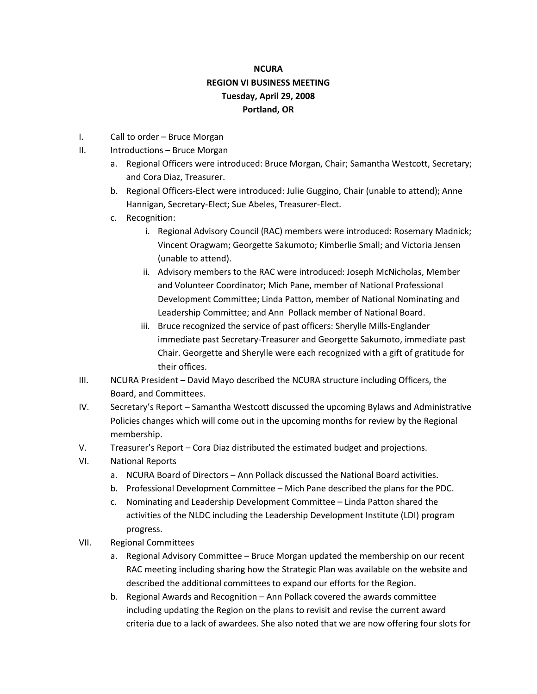## **NCURA REGION VI BUSINESS MEETING Tuesday, April 29, 2008 Portland, OR**

- I. Call to order Bruce Morgan
- II. Introductions Bruce Morgan
	- a. Regional Officers were introduced: Bruce Morgan, Chair; Samantha Westcott, Secretary; and Cora Diaz, Treasurer.
	- b. Regional Officers-Elect were introduced: Julie Guggino, Chair (unable to attend); Anne Hannigan, Secretary-Elect; Sue Abeles, Treasurer-Elect.
	- c. Recognition:
		- i. Regional Advisory Council (RAC) members were introduced: Rosemary Madnick; Vincent Oragwam; Georgette Sakumoto; Kimberlie Small; and Victoria Jensen (unable to attend).
		- ii. Advisory members to the RAC were introduced: Joseph McNicholas, Member and Volunteer Coordinator; Mich Pane, member of National Professional Development Committee; Linda Patton, member of National Nominating and Leadership Committee; and Ann Pollack member of National Board.
		- iii. Bruce recognized the service of past officers: Sherylle Mills-Englander immediate past Secretary-Treasurer and Georgette Sakumoto, immediate past Chair. Georgette and Sherylle were each recognized with a gift of gratitude for their offices.
- III. NCURA President David Mayo described the NCURA structure including Officers, the Board, and Committees.
- IV. Secretary's Report Samantha Westcott discussed the upcoming Bylaws and Administrative Policies changes which will come out in the upcoming months for review by the Regional membership.
- V. Treasurer's Report Cora Diaz distributed the estimated budget and projections.
- VI. National Reports
	- a. NCURA Board of Directors Ann Pollack discussed the National Board activities.
	- b. Professional Development Committee Mich Pane described the plans for the PDC.
	- c. Nominating and Leadership Development Committee Linda Patton shared the activities of the NLDC including the Leadership Development Institute (LDI) program progress.
- VII. Regional Committees
	- a. Regional Advisory Committee Bruce Morgan updated the membership on our recent RAC meeting including sharing how the Strategic Plan was available on the website and described the additional committees to expand our efforts for the Region.
	- b. Regional Awards and Recognition Ann Pollack covered the awards committee including updating the Region on the plans to revisit and revise the current award criteria due to a lack of awardees. She also noted that we are now offering four slots for